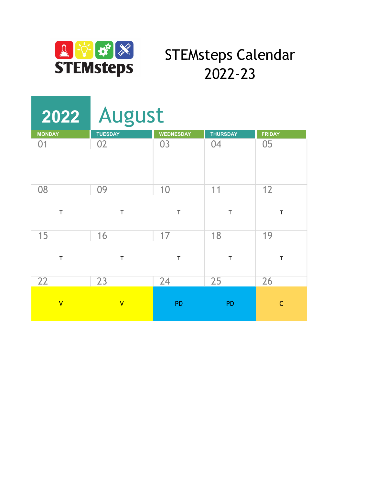

## STEMsteps Calendar 2022-23

|                         | 2022 August             |                  |                 |               |
|-------------------------|-------------------------|------------------|-----------------|---------------|
| <b>MONDAY</b>           | <b>TUESDAY</b>          | <b>WEDNESDAY</b> | <b>THURSDAY</b> | <b>FRIDAY</b> |
| 01                      | 02                      | 03               | 04              | 05            |
| 08                      | 09                      | 10               | 11              | 12            |
| $\top$                  | $\mathsf T$             | $\mathsf T$      | $\mathsf T$     | $\top$        |
| 15                      | 16                      | 17               | 18              | 19            |
| T                       | T                       | $\mathsf T$      | $\mathsf T$     | $\mathsf T$   |
| 22                      | 23                      | 24               | 25              | 26            |
| $\overline{\mathsf{V}}$ | $\overline{\mathsf{V}}$ | <b>PD</b>        | <b>PD</b>       | $\mathsf{C}$  |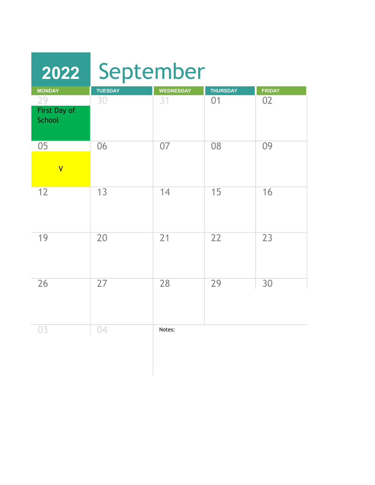| 2022                          | September      |                  |                 |               |
|-------------------------------|----------------|------------------|-----------------|---------------|
| <b>MONDAY</b>                 | <b>TUESDAY</b> | <b>WEDNESDAY</b> | <b>THURSDAY</b> | <b>FRIDAY</b> |
| 29<br>First Day of<br>School  | 30             | 31               | 01              | 02            |
| 05<br>$\overline{\mathsf{V}}$ | 06             | 07               | 08              | 09            |
| 12                            | 13             | 14               | 15              | 16            |
| 19                            | 20             | 21               | 22              | 23            |
| 26                            | 27             | 28               | 29              | 30            |
| 03                            | 04             | Notes:           |                 |               |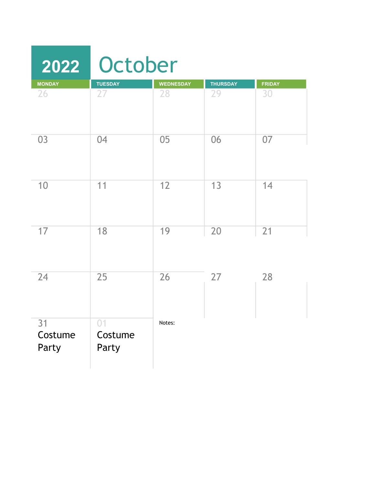|                        | 2022 October           |                  |                 |               |
|------------------------|------------------------|------------------|-----------------|---------------|
| <b>MONDAY</b>          | <b>TUESDAY</b>         | <b>WEDNESDAY</b> | <b>THURSDAY</b> | <b>FRIDAY</b> |
| 26                     | 27                     | 28               | 29              | 30            |
| 03                     | 04                     | 05               | 06              | 07            |
| 10                     | 11                     | 12               | 13              | 14            |
| 17                     | 18                     | 19               | 20              | 21            |
| 24                     | 25                     | 26               | 27              | 28            |
| 31<br>Costume<br>Party | 01<br>Costume<br>Party | Notes:           |                 |               |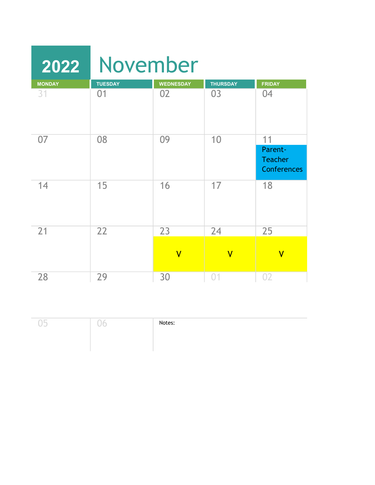| 2022          | November       |                         |                         |                                                 |
|---------------|----------------|-------------------------|-------------------------|-------------------------------------------------|
| <b>MONDAY</b> | <b>TUESDAY</b> | <b>WEDNESDAY</b>        | <b>THURSDAY</b>         | <b>FRIDAY</b>                                   |
| 31            | 01             | 02                      | 03                      | 04                                              |
| 07            | 08             | 09                      | 10                      | 11                                              |
|               |                |                         |                         | Parent-<br><b>Teacher</b><br><b>Conferences</b> |
| 14            | 15             | 16                      | 17                      | 18                                              |
| 21            | 22             | 23                      | 24                      | 25                                              |
|               |                | $\overline{\mathsf{V}}$ | $\overline{\mathsf{V}}$ | $\overline{\mathsf{V}}$                         |
| 28            | 29             | 30                      | 0 <sub>1</sub>          | 02                                              |

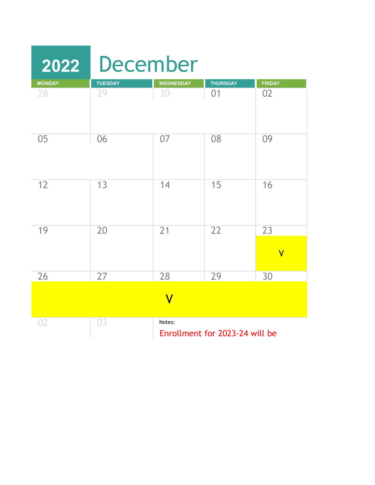| 2022          | <b>December</b> |                           |                                |                               |
|---------------|-----------------|---------------------------|--------------------------------|-------------------------------|
| <b>MONDAY</b> | <b>TUESDAY</b>  | <b>WEDNESDAY</b>          | <b>THURSDAY</b>                | <b>FRIDAY</b>                 |
| 28            | 29              | 30                        | 01                             | 02                            |
| 05            | 06              | 07                        | 08                             | 09                            |
| 12            | 13              | 14                        | 15                             | 16                            |
| 19            | 20              | $\overline{21}$           | 22                             | 23<br>$\overline{\mathsf{V}}$ |
| 26            | 27              | 28                        | 29                             | 30                            |
|               |                 | $\boldsymbol{\mathsf{V}}$ |                                |                               |
| 02            | 03              | Notes:                    | Enrollment for 2023-24 will be |                               |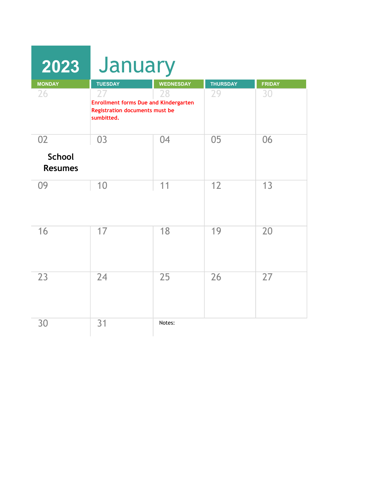| 2023                            | January                                                                                                   |                  |                 |               |
|---------------------------------|-----------------------------------------------------------------------------------------------------------|------------------|-----------------|---------------|
| <b>MONDAY</b>                   | <b>TUESDAY</b>                                                                                            | <b>WEDNESDAY</b> | <b>THURSDAY</b> | <b>FRIDAY</b> |
| 26                              | 27<br><b>Enrollment forms Due and Kindergarten</b><br><b>Registration documents must be</b><br>sumbitted. | 28               | 29              | 30            |
| 02                              | 03                                                                                                        | 04               | 05              | 06            |
| <b>School</b><br><b>Resumes</b> |                                                                                                           |                  |                 |               |
| 09                              | 10                                                                                                        | 11               | 12              | 13            |
| 16                              | 17                                                                                                        | 18               | 19              | 20            |
| 23                              | 24                                                                                                        | 25               | 26              | 27            |
| 30                              | 31                                                                                                        | Notes:           |                 |               |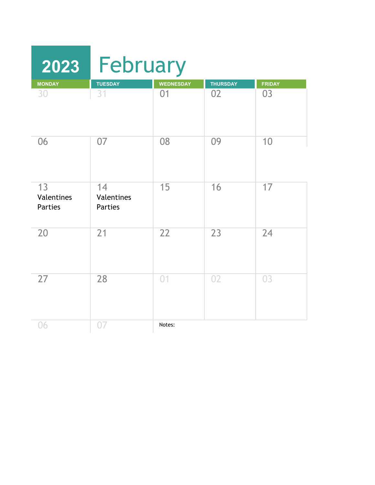| 2023                               | February                           |                  |                 |               |
|------------------------------------|------------------------------------|------------------|-----------------|---------------|
| <b>MONDAY</b>                      | <b>TUESDAY</b>                     | <b>WEDNESDAY</b> | <b>THURSDAY</b> | <b>FRIDAY</b> |
| 30                                 | 31                                 | 01               | 02              | 03            |
| 06                                 | 07                                 | 08               | 09              | 10            |
| 13<br>Valentines<br><b>Parties</b> | 14<br>Valentines<br><b>Parties</b> | 15               | 16              | 17            |
| 20                                 | 21                                 | 22               | 23              | 24            |
| 27                                 | 28                                 | 01               | 02              | 03            |
| 06                                 | 07                                 | Notes:           |                 |               |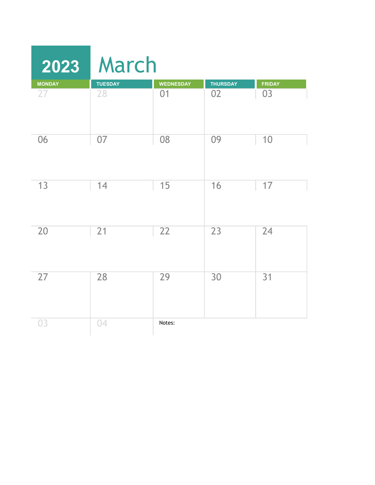|               | 2023 March     |                  |                 |               |
|---------------|----------------|------------------|-----------------|---------------|
| <b>MONDAY</b> | <b>TUESDAY</b> | <b>WEDNESDAY</b> | <b>THURSDAY</b> | <b>FRIDAY</b> |
| 27            | 28             | 01               | 02              | 03            |
| 06            | 07             | 08               | 09              | 10            |
| 13            | 14             | 15               | 16              | 17            |
| 20            | 21             | 22               | 23              | 24            |
| 27            | 28             | 29               | 30              | 31            |
| 03            | 04             | Notes:           |                 |               |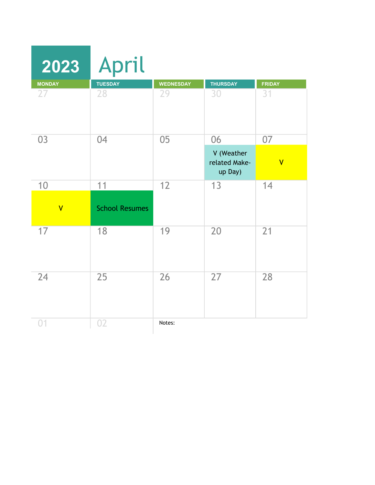| 2023                    | April                 |                  |                                        |                         |
|-------------------------|-----------------------|------------------|----------------------------------------|-------------------------|
| <b>MONDAY</b>           | <b>TUESDAY</b>        | <b>WEDNESDAY</b> | <b>THURSDAY</b>                        | <b>FRIDAY</b>           |
| 27                      | 28                    | 29               | 30                                     | 31                      |
| 03                      | 04                    | 05               | 06                                     | 07                      |
|                         |                       |                  | V (Weather<br>related Make-<br>up Day) | $\overline{\mathsf{V}}$ |
| 10                      | 11                    | 12               | 13                                     | 14                      |
| $\overline{\mathsf{V}}$ | <b>School Resumes</b> |                  |                                        |                         |
| 17                      | 18                    | 19               | 20                                     | 21                      |
| 24                      | 25                    | 26               | 27                                     | 28                      |
| 0 <sub>1</sub>          | 02                    | Notes:           |                                        |                         |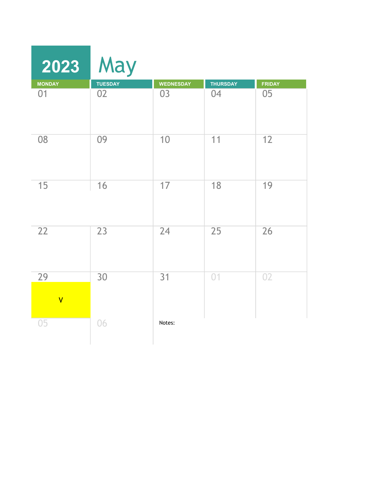| 2023                          | May             |                  |                 |               |
|-------------------------------|-----------------|------------------|-----------------|---------------|
| <b>MONDAY</b>                 | <b>TUESDAY</b>  | <b>WEDNESDAY</b> | <b>THURSDAY</b> | <b>FRIDAY</b> |
| 01                            | 02              | 03               | 04              | 05            |
| 08                            | 09              | 10               | 11              | 12            |
| 15                            | 16              | 17               | 18              | 19            |
| 22                            | 23              | 24               | 25              | 26            |
| 29<br>$\overline{\mathsf{V}}$ | $\overline{30}$ | 31               | 01              | 02            |
| 05                            | 06              | Notes:           |                 |               |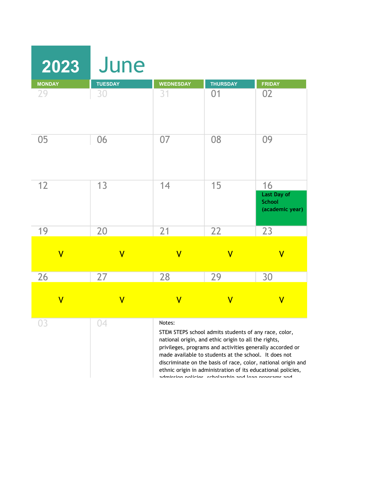| 2023                    | June                    |                         |                                                                                                                                                                                                                                                                                                                                                             |                                                               |
|-------------------------|-------------------------|-------------------------|-------------------------------------------------------------------------------------------------------------------------------------------------------------------------------------------------------------------------------------------------------------------------------------------------------------------------------------------------------------|---------------------------------------------------------------|
| <b>MONDAY</b>           | <b>TUESDAY</b>          | <b>WEDNESDAY</b>        | <b>THURSDAY</b>                                                                                                                                                                                                                                                                                                                                             | <b>FRIDAY</b>                                                 |
| 29                      | 30                      | 31                      | 01                                                                                                                                                                                                                                                                                                                                                          | 02                                                            |
| 05                      | 06                      | 07                      | 08                                                                                                                                                                                                                                                                                                                                                          | 09                                                            |
| 12                      | 13                      | 14                      | 15                                                                                                                                                                                                                                                                                                                                                          | 16<br>Last Day of<br><b>School</b><br>(academic year)         |
| 19                      | 20                      | 21                      | 22                                                                                                                                                                                                                                                                                                                                                          | 23                                                            |
| $\overline{\mathsf{V}}$ | $\overline{\mathsf{V}}$ | $\overline{\mathsf{V}}$ | $\overline{\mathsf{V}}$                                                                                                                                                                                                                                                                                                                                     | $\overline{\mathsf{V}}$                                       |
| 26                      | 27                      | 28                      | 29                                                                                                                                                                                                                                                                                                                                                          | 30                                                            |
| $\overline{\mathsf{V}}$ | $\overline{\mathsf{V}}$ | $\overline{\mathsf{V}}$ | $\overline{\mathsf{V}}$                                                                                                                                                                                                                                                                                                                                     | $\overline{\mathsf{V}}$                                       |
| 03                      | 04                      | Notes:                  | STEM STEPS school admits students of any race, color,<br>national origin, and ethic origin to all the rights,<br>privileges, programs and activities generally accorded or<br>made available to students at the school. It does not<br>ethnic origin in administration of its educational policies,<br>admission noticias echalarshin and loan programs and | discriminate on the basis of race, color, national origin and |

admission policies, scholarship and loan programs and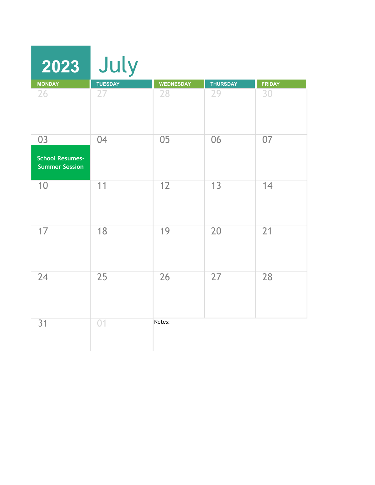| 2023                                            | July            |                  |                 |        |
|-------------------------------------------------|-----------------|------------------|-----------------|--------|
| <b>MONDAY</b>                                   | <b>TUESDAY</b>  | <b>WEDNESDAY</b> | <b>THURSDAY</b> | FRIDAY |
| 26                                              | 27              | 28               | 29              | 30     |
| 03                                              | 04              | 05               | 06              | 07     |
| <b>School Resumes-</b><br><b>Summer Session</b> |                 |                  |                 |        |
| 10                                              | 11              | 12               | 13              | 14     |
| 17                                              | 18              | 19               | 20              | 21     |
| 24                                              | $\overline{25}$ | 26               | 27              | 28     |
| 31                                              | 01              | Notes:           |                 |        |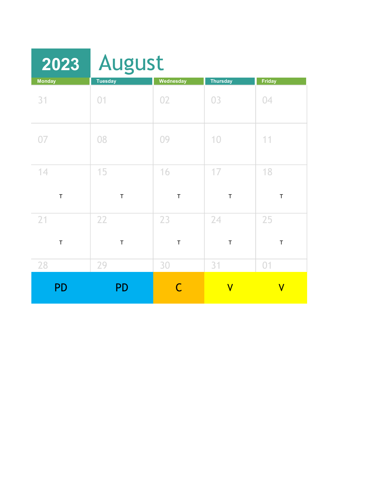| 2023              | <b>August</b>     |                   |                         |                         |
|-------------------|-------------------|-------------------|-------------------------|-------------------------|
| <b>Monday</b>     | <b>Tuesday</b>    | Wednesday         | <b>Thursday</b>         | Friday                  |
| 31                | 01                | 02                | 03                      | 04                      |
| 07                | 08                | 09                | 10                      | 11                      |
| 14<br>$\mathsf T$ | 15<br>$\mathsf T$ | 16<br>$\mathsf T$ | 17<br>$\mathsf T$       | 18<br>$\mathsf T$       |
| 21<br>$\mathsf T$ | 22<br>$\top$      | 23<br>$\mathsf T$ | 24<br>$\sf T$           | 25<br>$\mathsf T$       |
| 28                | 29                | 30                | 31                      | 01                      |
| PD                | <b>PD</b>         | C                 | $\overline{\mathsf{V}}$ | $\overline{\mathsf{V}}$ |